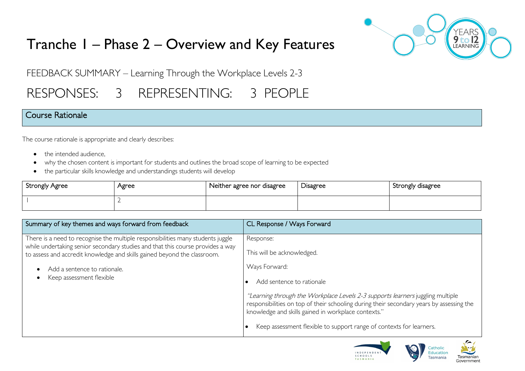# Tranche 1 – Phase 2 – Overview and Key Features



FEEDBACK SUMMARY – Learning Through the Workplace Levels 2-3

# RESPONSES: 3 REPRESENTING: 3 PEOPLE

## Course Rationale

The course rationale is appropriate and clearly describes:

- the intended audience.
- why the chosen content is important for students and outlines the broad scope of learning to be expected
- the particular skills knowledge and understandings students will develop

| Strongly Agree | Agree | Neither agree nor disagree | Disagree | Strongly disagree |
|----------------|-------|----------------------------|----------|-------------------|
|                |       |                            |          |                   |

| Summary of key themes and ways forward from feedback                                                                                                                                                                                          | CL Response / Ways Forward                                                                                                                                                                                                        |
|-----------------------------------------------------------------------------------------------------------------------------------------------------------------------------------------------------------------------------------------------|-----------------------------------------------------------------------------------------------------------------------------------------------------------------------------------------------------------------------------------|
| There is a need to recognise the multiple responsibilities many students juggle<br>while undertaking senior secondary studies and that this course provides a way<br>to assess and accredit knowledge and skills gained beyond the classroom. | Response:<br>This will be acknowledged.                                                                                                                                                                                           |
| Add a sentence to rationale.<br>Keep assessment flexible                                                                                                                                                                                      | Ways Forward:<br>Add sentence to rationale                                                                                                                                                                                        |
|                                                                                                                                                                                                                                               | "Learning through the Workplace Levels 2-3 supports learners juggling multiple<br>responsibilities on top of their schooling during their secondary years by assessing the<br>knowledge and skills gained in workplace contexts." |
|                                                                                                                                                                                                                                               | Keep assessment flexible to support range of contexts for learners.                                                                                                                                                               |



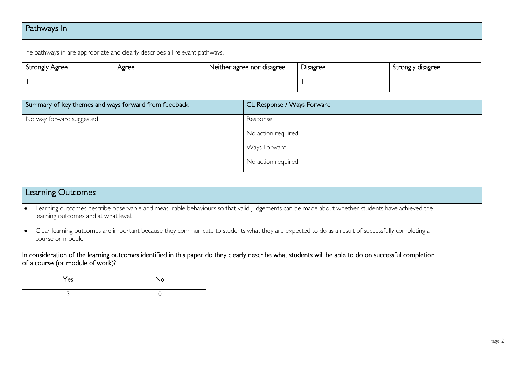## Pathways In

The pathways in are appropriate and clearly describes all relevant pathways.

| Strongly Agree | Agree | Neither agree nor disagree | Disagree | Strongly disagree |
|----------------|-------|----------------------------|----------|-------------------|
|                |       |                            |          |                   |

| Summary of key themes and ways forward from feedback | CL Response / Ways Forward |
|------------------------------------------------------|----------------------------|
| No way forward suggested                             | Response:                  |
|                                                      | No action required.        |
|                                                      | Ways Forward:              |
|                                                      | No action required.        |

# Learning Outcomes

- Learning outcomes describe observable and measurable behaviours so that valid judgements can be made about whether students have achieved the learning outcomes and at what level.
- Clear learning outcomes are important because they communicate to students what they are expected to do as a result of successfully completing a course or module.

In consideration of the learning outcomes identified in this paper do they clearly describe what students will be able to do on successful completion of a course (or module of work)?

| Yes | No |
|-----|----|
|     |    |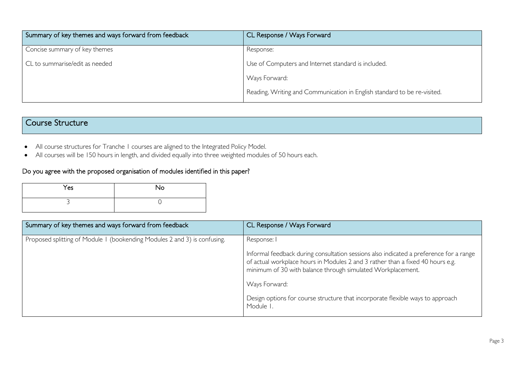| Summary of key themes and ways forward from feedback | CL Response / Ways Forward                                               |
|------------------------------------------------------|--------------------------------------------------------------------------|
| Concise summary of key themes                        | Response:                                                                |
| CL to summarise/edit as needed                       | Use of Computers and Internet standard is included.                      |
|                                                      | Ways Forward:                                                            |
|                                                      | Reading, Writing and Communication in English standard to be re-visited. |

## Course Structure

- All course structures for Tranche 1 courses are aligned to the Integrated Policy Model.
- All courses will be 150 hours in length, and divided equally into three weighted modules of 50 hours each.

#### Do you agree with the proposed organisation of modules identified in this paper?

| Yes | <b>No</b> |
|-----|-----------|
|     |           |

| Summary of key themes and ways forward from feedback                      | CL Response / Ways Forward                                                                                                                                                                                                              |
|---------------------------------------------------------------------------|-----------------------------------------------------------------------------------------------------------------------------------------------------------------------------------------------------------------------------------------|
| Proposed splitting of Module 1 (bookending Modules 2 and 3) is confusing. | Response: I                                                                                                                                                                                                                             |
|                                                                           | Informal feedback during consultation sessions also indicated a preference for a range<br>of actual workplace hours in Modules 2 and 3 rather than a fixed 40 hours e.g.<br>minimum of 30 with balance through simulated Workplacement. |
|                                                                           | Ways Forward:                                                                                                                                                                                                                           |
|                                                                           | Design options for course structure that incorporate flexible ways to approach<br>Module I.                                                                                                                                             |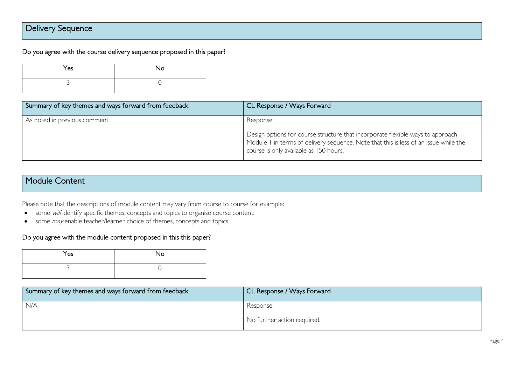## Delivery Sequence

#### Do you agree with the course delivery sequence proposed in this paper?

| Yes | No |
|-----|----|
|     |    |

| Summary of key themes and ways forward from feedback | CL Response / Ways Forward                                                                                                                                                                                         |
|------------------------------------------------------|--------------------------------------------------------------------------------------------------------------------------------------------------------------------------------------------------------------------|
| As noted in previous comment.                        | Response:                                                                                                                                                                                                          |
|                                                      | Design options for course structure that incorporate flexible ways to approach<br>  Module I in terms of delivery sequence. Note that this is less of an issue while the<br>course is only available as 150 hours. |

## Module Content

Please note that the descriptions of module content may vary from course to course for example:

- some *will* identify specific themes, concepts and topics to organise course content.
- some *may* enable teacher/learner choice of themes, concepts and topics.

#### Do you agree with the module content proposed in this this paper?

| Yes | <b>No</b> |
|-----|-----------|
| ∽   |           |

| Summary of key themes and ways forward from feedback | CL Response / Ways Forward  |
|------------------------------------------------------|-----------------------------|
| N/A                                                  | Response:                   |
|                                                      | No further action required. |